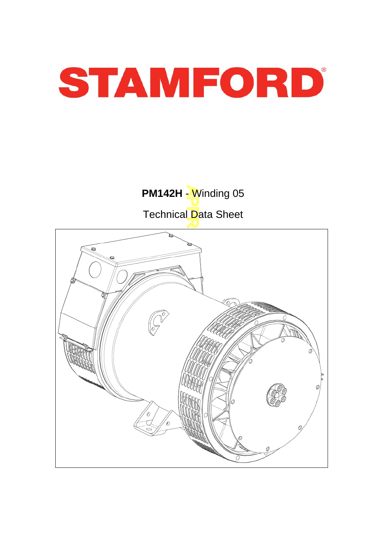

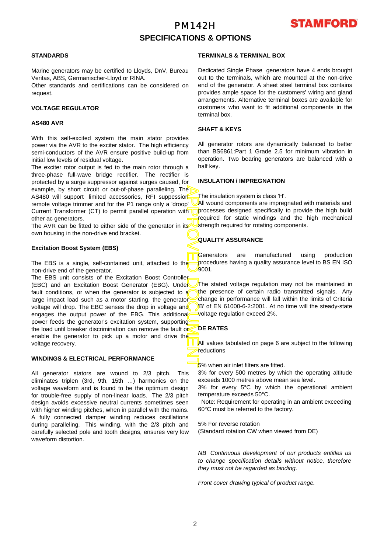### PM142H **SPECIFICATIONS & OPTIONS**



#### **STANDARDS**

Marine generators may be certified to Lloyds, DnV, Bureau Veritas, ABS, Germanischer-Lloyd or RINA.

Other standards and certifications can be considered on request.

#### **VOLTAGE REGULATOR**

#### **AS480 AVR**

With this self-excited system the main stator provides power via the AVR to the exciter stator. The high efficiency semi-conductors of the AVR ensure positive build-up from initial low levels of residual voltage.

The exciter rotor output is fed to the main rotor through a three-phase full-wave bridge rectifier. The rectifier is protected by a surge suppressor against surges caused, fo r example, by short circuit or out-of-phase paralleling. The AS480 will support limited accessories, RFI suppession remote voltage trimmer and for the P1 range only a 'droop' Current Transformer (CT) to permit parallel operation with other ac generators.

The AVR can be fitted to either side of the generator in its own housing in the non-drive end bracket.

#### **Excitation Boost System (EBS)**

The EBS is a single, self-contained unit, attached to the non-drive end of the generator.

APPROVED DOCUMENT The EBS unit consists of the Excitation Boost Controller (EBC) and an Excitation Boost Generator (EBG). Under fault conditions, or when the generator is subjected to a large impact load such as a motor starting, the generator voltage will drop. The EBC senses the drop in voltage and engages the output power of the EBG. This additional power feeds the generator's excitation system, supporting the load until breaker discrimination can remove the fault or enable the generator to pick up a motor and drive the voltage recovery.

### **WINDINGS & ELECTRICAL PERFORMANCE**

All generator stators are wound to 2/3 pitch. This eliminates triplen (3rd, 9th, 15th …) harmonics on the voltage waveform and is found to be the optimum design for trouble-free supply of non-linear loads. The 2/3 pitch design avoids excessive neutral currents sometimes seen with higher winding pitches, when in parallel with the mains. A fully connected damper winding reduces oscillations during paralleling. This winding, with the 2/3 pitch and carefully selected pole and tooth designs, ensures very low waveform distortion.

### **TERMINALS & TERMINAL BOX**

Dedicated Single Phase generators have 4 ends brought out to the terminals, which are mounted at the non-drive end of the generator. A sheet steel terminal box contains provides ample space for the customers' wiring and gland arrangements. Alternative terminal boxes are available fo r customers who want to fit additional components in the terminal box.

### **SHAFT & KEYS**

All generator rotors are dynamically balanced to better than BS6861:Part 1 Grade 2.5 for minimum vibration in operation. Two bearing generators are balanced with a half key.

### **INSULATION / IMPREGNATION**

The insulation system is class 'H'.

All wound components are impregnated with materials and processes designed specifically to provide the high build required for static windings and the high mechanical strength required for rotating components.

### **QUALITY ASSURANCE**

Generators are manufactured using production procedures having a quality assurance level to BS EN ISO 9001.

The stated voltage regulation may not be maintained in the presence of certain radio transmitted signals. Any change in performance will fall within the limits of Criteria B' of EN 61000-6-2:2001. At no time will the steady-state voltage regulation exceed 2%.

### **DE RATES**

All values tabulated on page 6 are subiect to the following reductions

5% when air inlet filters are fitted.

3% for every 500 metres by which the operating altitude exceeds 1000 metres above mean sea level.

3% for every 5°C by which the operational ambient temperature exceeds 50°C.

 Note: Requirement for operating in an ambient exceeding 60°C must be referred to the factory.

5% For reverse rotation (Standard rotation CW when viewed from DE)

*NB Continuous development of our products entitles us to change specification details without notice, therefore they must not be regarded as binding.* 

*Front cover drawing typical of product range.*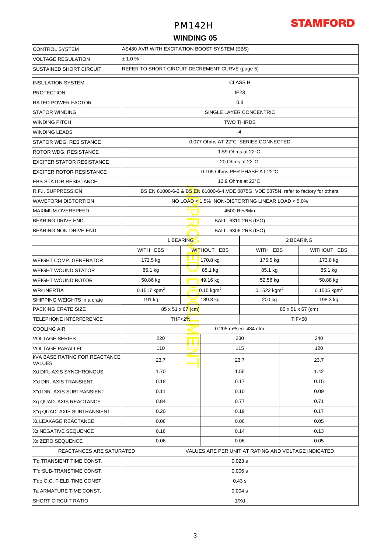### PM142H

# **STAMFORD**

### **WINDING 05**

| <b>CONTROL SYSTEM</b>                                                           | AS480 AVR WITH EXCITATION BOOST SYSTEM (EBS)       |              |                                        |                                                                                      |                         |             |  |  |  |
|---------------------------------------------------------------------------------|----------------------------------------------------|--------------|----------------------------------------|--------------------------------------------------------------------------------------|-------------------------|-------------|--|--|--|
| <b>VOLTAGE REGULATION</b>                                                       | ± 1.0 %                                            |              |                                        |                                                                                      |                         |             |  |  |  |
| <b>SUSTAINED SHORT CIRCUIT</b>                                                  | REFER TO SHORT CIRCUIT DECREMENT CURVE (page 5)    |              |                                        |                                                                                      |                         |             |  |  |  |
| <b>INSULATION SYSTEM</b>                                                        | <b>CLASS H</b>                                     |              |                                        |                                                                                      |                         |             |  |  |  |
| <b>PROTECTION</b>                                                               | IP <sub>23</sub>                                   |              |                                        |                                                                                      |                         |             |  |  |  |
| <b>RATED POWER FACTOR</b>                                                       | 0.8                                                |              |                                        |                                                                                      |                         |             |  |  |  |
| <b>STATOR WINDING</b>                                                           |                                                    |              |                                        | SINGLE LAYER CONCENTRIC                                                              |                         |             |  |  |  |
| <b>WINDING PITCH</b>                                                            |                                                    |              | <b>TWO THIRDS</b>                      |                                                                                      |                         |             |  |  |  |
| <b>WINDING LEADS</b>                                                            |                                                    |              | 4                                      |                                                                                      |                         |             |  |  |  |
| <b>STATOR WDG, RESISTANCE</b>                                                   |                                                    |              |                                        | 0.077 Ohms AT 22°C SERIES CONNECTED                                                  |                         |             |  |  |  |
| <b>ROTOR WDG. RESISTANCE</b>                                                    |                                                    |              | 1.59 Ohms at 22°C                      |                                                                                      |                         |             |  |  |  |
| <b>EXCITER STATOR RESISTANCE</b>                                                |                                                    |              | 20 Ohms at 22°C                        |                                                                                      |                         |             |  |  |  |
| <b>EXCITER ROTOR RESISTANCE</b>                                                 |                                                    |              | 0.105 Ohms PER PHASE AT 22°C           |                                                                                      |                         |             |  |  |  |
| <b>EBS STATOR RESISTANCE</b>                                                    |                                                    |              | 12.9 Ohms at 22°C                      |                                                                                      |                         |             |  |  |  |
| R.F.I. SUPPRESSION                                                              |                                                    |              |                                        | BS EN 61000-6-2 & BS EN 61000-6-4, VDE 0875G, VDE 0875N. refer to factory for others |                         |             |  |  |  |
| <b>WAVEFORM DISTORTION</b>                                                      |                                                    |              |                                        | NO LOAD $\leq 1.5\%$ NON-DISTORTING LINEAR LOAD $< 5.0\%$                            |                         |             |  |  |  |
| <b>MAXIMUM OVERSPEED</b>                                                        |                                                    |              | 4500 Rev/Min                           |                                                                                      |                         |             |  |  |  |
| <b>BEARING DRIVE END</b>                                                        |                                                    |              | BALL. 6310-2RS (ISO)                   |                                                                                      |                         |             |  |  |  |
| BEARING NON-DRIVE END                                                           |                                                    |              | BALL. 6306-2RS (ISO)                   |                                                                                      |                         |             |  |  |  |
|                                                                                 | 1 BEARING                                          |              | 2 BEARING                              |                                                                                      |                         |             |  |  |  |
|                                                                                 | WITH EBS                                           |              | <b>WITHOUT EBS</b>                     | WITH EBS                                                                             |                         | WITHOUT EBS |  |  |  |
| <b>WEIGHT COMP. GENERATOR</b>                                                   | 172.5 kg                                           | <u>u u u</u> | 170.8 kg                               | 175.5 kg                                                                             |                         | 173.8 kg    |  |  |  |
| <b>WEIGHT WOUND STATOR</b>                                                      | 85.1 kg                                            |              | 85.1 kg<br>85.1 kg                     |                                                                                      | 85.1 kg                 |             |  |  |  |
| <b>WEIGHT WOUND ROTOR</b>                                                       | 50.86 kg                                           |              | 49.16 kg<br>52.58 kg                   |                                                                                      | 50.88 kg                |             |  |  |  |
| <b>WR<sup>2</sup> INERTIA</b>                                                   | $0.1517$ kgm <sup>2</sup>                          |              | 0.15 kgm <sup>2</sup><br>0.1522 $kgm2$ |                                                                                      | 0.1505 kgm <sup>2</sup> |             |  |  |  |
| SHIPPING WEIGHTS in a crate                                                     | 191 kg                                             |              | 189.3 kg                               | 200 kg                                                                               | 198.3 kg                |             |  |  |  |
| <b>PACKING CRATE SIZE</b>                                                       | $85 \times 51 \times 67$ (cm)<br>85 x 51 x 67 (cm) |              |                                        |                                                                                      |                         |             |  |  |  |
| TELEPHONE INTERFERENCE                                                          | THF<2%                                             |              |                                        |                                                                                      | <b>TIF&lt;50</b>        |             |  |  |  |
| <b>COOLING AIR</b>                                                              |                                                    |              | 0.205 m <sup>3</sup> /sec 434 cfm      |                                                                                      |                         |             |  |  |  |
| <b>VOLTAGE SERIES</b>                                                           | 220                                                |              | 230                                    |                                                                                      | 240                     |             |  |  |  |
| <b>VOLTAGE PARALLEL</b>                                                         | 110                                                |              | 115                                    |                                                                                      | 120                     |             |  |  |  |
| <b>kVA BASE RATING FOR REACTANCE</b><br><b>VALUES</b>                           | 23.7                                               |              |                                        | 23.7                                                                                 | 23.7                    |             |  |  |  |
| Xd DIR. AXIS SYNCHRONOUS                                                        | 1.70                                               |              |                                        | 1.55                                                                                 | 1.42                    |             |  |  |  |
| X'd DIR. AXIS TRANSIENT                                                         | 0.18                                               |              |                                        | 0.17                                                                                 | 0.15                    |             |  |  |  |
| X"d DIR. AXIS SUBTRANSIENT                                                      | 0.11                                               |              |                                        | 0.10                                                                                 | 0.09                    |             |  |  |  |
| Xq QUAD. AXIS REACTANCE                                                         | 0.84                                               |              |                                        | 0.77                                                                                 | 0.71                    |             |  |  |  |
| X"q QUAD. AXIS SUBTRANSIENT                                                     | 0.20                                               |              |                                        | 0.19                                                                                 | 0.17                    |             |  |  |  |
| XL LEAKAGE REACTANCE                                                            | 0.06                                               |              |                                        | 0.06                                                                                 | 0.05                    |             |  |  |  |
| X <sub>2</sub> NEGATIVE SEQUENCE                                                | 0.16                                               |              |                                        | 0.14                                                                                 | 0.13                    |             |  |  |  |
| X <sub>0</sub> ZERO SEQUENCE                                                    | 0.06<br>0.06<br>0.05                               |              |                                        |                                                                                      |                         |             |  |  |  |
| REACTANCES ARE SATURATED<br>VALUES ARE PER UNIT AT RATING AND VOLTAGE INDICATED |                                                    |              |                                        |                                                                                      |                         |             |  |  |  |
| T'd TRANSIENT TIME CONST.                                                       |                                                    |              | 0.023 s                                |                                                                                      |                         |             |  |  |  |
| T"d SUB-TRANSTIME CONST.                                                        | 0.006 s                                            |              |                                        |                                                                                      |                         |             |  |  |  |
| T'do O.C. FIELD TIME CONST.                                                     | 0.43 s                                             |              |                                        |                                                                                      |                         |             |  |  |  |
| Ta ARMATURE TIME CONST.                                                         | 0.004 s                                            |              |                                        |                                                                                      |                         |             |  |  |  |
| <b>SHORT CIRCUIT RATIO</b>                                                      | 1/Xd                                               |              |                                        |                                                                                      |                         |             |  |  |  |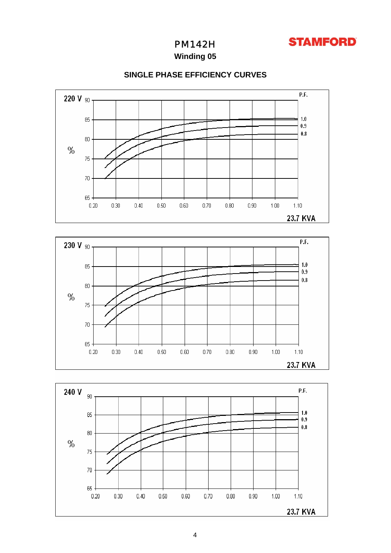

PM142H

**Winding 05**



### **SINGLE PHASE EFFICIENCY CURVES**



 $0.90$ 

 $1.00$ 

 $1.10$ 23.7 KVA

 $0.80\,$ 

 $70$ 

 $65 -$ 

 $0.20$ 

 $0.40$ 

 $0.50$ 

 $0.60$ 

 $0.70$ 

 $0.30$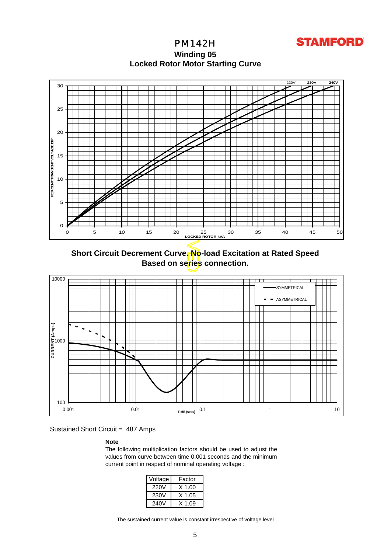

**Locked Rotor Motor Startin g Curve** PM142H **Winding 05**



**Short Circuit Decrement Curve. No-load Excitation at Rated Speed Based on series connection.**



Sustained Short Circuit = 487 Amps

### **Note**

The following multiplication factors should be used to adjust the values from curve between time 0.001 seconds and the minimum current point in respect of nominal operating voltage :

| Voltage | Factor |
|---------|--------|
| 220V    | X 1.00 |
| 230V    | X 1.05 |
| 240V    | X 1 09 |

The sustained current value is constant irrespective of voltage level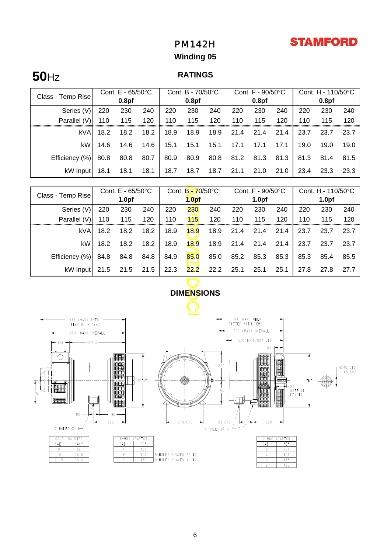## **STAMFORD**

## PM142H

## **Winding 05**

# **50**Hz

### **RATINGS**

|                   | Cont. $E - 65/50^{\circ}C$ |      |      | Cont. B - 70/50°C |      |      | Cont. $F - 90/50^{\circ}C$ |      |      | Cont. H - 110/50°C |      |      |
|-------------------|----------------------------|------|------|-------------------|------|------|----------------------------|------|------|--------------------|------|------|
| Class - Temp Rise | 0.8 <sub>pf</sub>          |      |      | 0.8 <sub>pf</sub> |      |      | 0.8 <sub>pf</sub>          |      |      | 0.8 <sub>pf</sub>  |      |      |
| Series (V)        | 220                        | 230  | 240  | 220               | 230  | 240  | 220                        | 230  | 240  | 220                | 230  | 240  |
| Parallel (V)      | 110                        | 115  | 120  | 110               | 115  | 120  | 110                        | 115  | 120  | 110                | 115  | 120  |
| <b>kVA</b>        | 18.2                       | 18.2 | 18.2 | 18.9              | 18.9 | 18.9 | 21.4                       | 21.4 | 21.4 | 23.7               | 23.7 | 23.7 |
| kW                | 14.6                       | 14.6 | 14.6 | 15.1              | 15.1 | 15.1 | 17.1                       | 17.1 | 17.1 | 19.0               | 19.0 | 19.0 |
| Efficiency (%)    | 80.8                       | 80.8 | 80.7 | 80.9              | 80.9 | 80.8 | 81.2                       | 81.3 | 81.3 | 81.3               | 81.4 | 81.5 |
| kW Input          | 18.1                       | 18.1 | 18.1 | 18.7              | 18.7 | 18.7 | 21.1                       | 21.0 | 21.0 | 23.4               | 23.3 | 23.3 |

|                                                                               | Cont. E - 65/50°C |                   |      | Cont. B-70/50°C   |      |      | Cont. F - 90/50°C |                |      | Cont. H - 110/50°C |      |                                    |
|-------------------------------------------------------------------------------|-------------------|-------------------|------|-------------------|------|------|-------------------|----------------|------|--------------------|------|------------------------------------|
| Class - Temp Rise                                                             | 1.0 <sub>pf</sub> |                   |      | 1.0 <sub>pf</sub> |      |      | 1.0 <sub>pf</sub> |                |      | 1.0 <sub>pf</sub>  |      |                                    |
| Series (V)                                                                    | 220               | 230               | 240  | 220               | 230  | 240  | 220               | 230            | 240  | 220                | 230  | 240                                |
| Parallel (V)                                                                  | 110               | 115               | 120  | 110               | 115  | 120  | 110               | 115            | 120  | 110                | 115  | 120                                |
| <b>kVA</b>                                                                    | 18.2              | 18.2              | 18.2 | 18.9              | 18.9 | 18.9 | 21.4              | 21.4           | 21.4 | 23.7               | 23.7 | 23.7                               |
| kW                                                                            | 18.2              | 18.2              | 18.2 | 18.9              | 18.9 | 18.9 | 21.4              | 21.4           | 21.4 | 23.7               | 23.7 | 23.7                               |
| Efficiency (%)                                                                | 84.8              | 84.8              | 84.8 | 84.9              | 85.0 | 85.0 | 85.2              | 85.3           | 85.3 | 85.3               | 85.4 | 85.5                               |
| kW Input                                                                      | 21.5              | 21.5              | 21.5 | 22.3              | 22.2 | 22.2 | 25.1              | 25.1           | 25.1 | 27.8               | 27.8 | 27.7                               |
|                                                                               |                   |                   |      |                   |      |      |                   |                |      |                    |      |                                    |
| <b>DIMENSIONS</b>                                                             |                   |                   |      |                   |      |      |                   |                |      |                    |      |                                    |
|                                                                               |                   |                   |      |                   |      |      |                   |                |      |                    |      |                                    |
| 754 (MAX) WHEN<br>646 (MAX) WHEN<br>FITTED WITH<br>rebsr<br>FITTED WITH 'EBS' |                   |                   |      |                   |      |      |                   |                |      |                    |      |                                    |
| - 672 (MAX) OVERALL -<br>564 (MAX) OVERALL                                    |                   |                   |      |                   |      |      |                   |                |      |                    |      |                                    |
| $\rightarrow$ 520 TO T/BOX LID $\rightarrow$<br>$-136 -$<br>424.5             |                   |                   |      |                   |      |      |                   |                |      |                    |      |                                    |
| $65 + -$                                                                      |                   |                   |      |                   |      |      |                   |                |      |                    |      |                                    |
|                                                                               |                   | <b>IN BREEGER</b> |      |                   |      | 220  |                   | <b>ARBORED</b> |      |                    |      | $-\pi$ $\pi$ $\circ$ $\pi$ $\circ$ |

 $\overline{\mathcal{L}}$ - 754 (MAX) WHEN<br>FITTED WITH 'EBS' - 646 (MAX) WHEN<br>FITTED WITH 'EBS' - 672 (MAX) OVERALL - $-564$  (MAX) OVERALL  $\rightarrow$  520 TO T/BOX LID-136  $-424.5$ 6.5  $\bigcirc$ **Note** HEALTH A  $\begin{array}{c} \end{array}$  $\begin{matrix} \end{matrix}$  $\sqrt{\frac{348.018}{48.002}}$ 220 ∕Г 9ÂA  $\overline{a}$ **MANION** 87 USEFULL<br>LENGTH 180 **tion**  $\mathbb{H} \mathbb{R}$ anna 鼺 80  $-198 -$ 105 CRS- $228 -$ 279 CRS-2 HOLES  $\emptyset$  14- $4-HOLES \not\emptyset 14$  $DIS$  $1 - BF$ **DAPTO** PL  $A^*$  $^{\circ}$ SAE  $SAE$ 

 $\frac{6}{405}$ 

 $\frac{451}{489}$ 

7

 $\overline{6}$ 

 $5.2$ 

 $\overline{\phantom{a}}$ 

 $\overline{\mathbb{H}}$ 

|     | 2-BRG ADAPTOR |  |  |  |  |  |
|-----|---------------|--|--|--|--|--|
| SAE | np i          |  |  |  |  |  |
| 5   | 359           |  |  |  |  |  |
| Λ   | 406           |  |  |  |  |  |
| 3   | 455           |  |  |  |  |  |
|     | 493           |  |  |  |  |  |